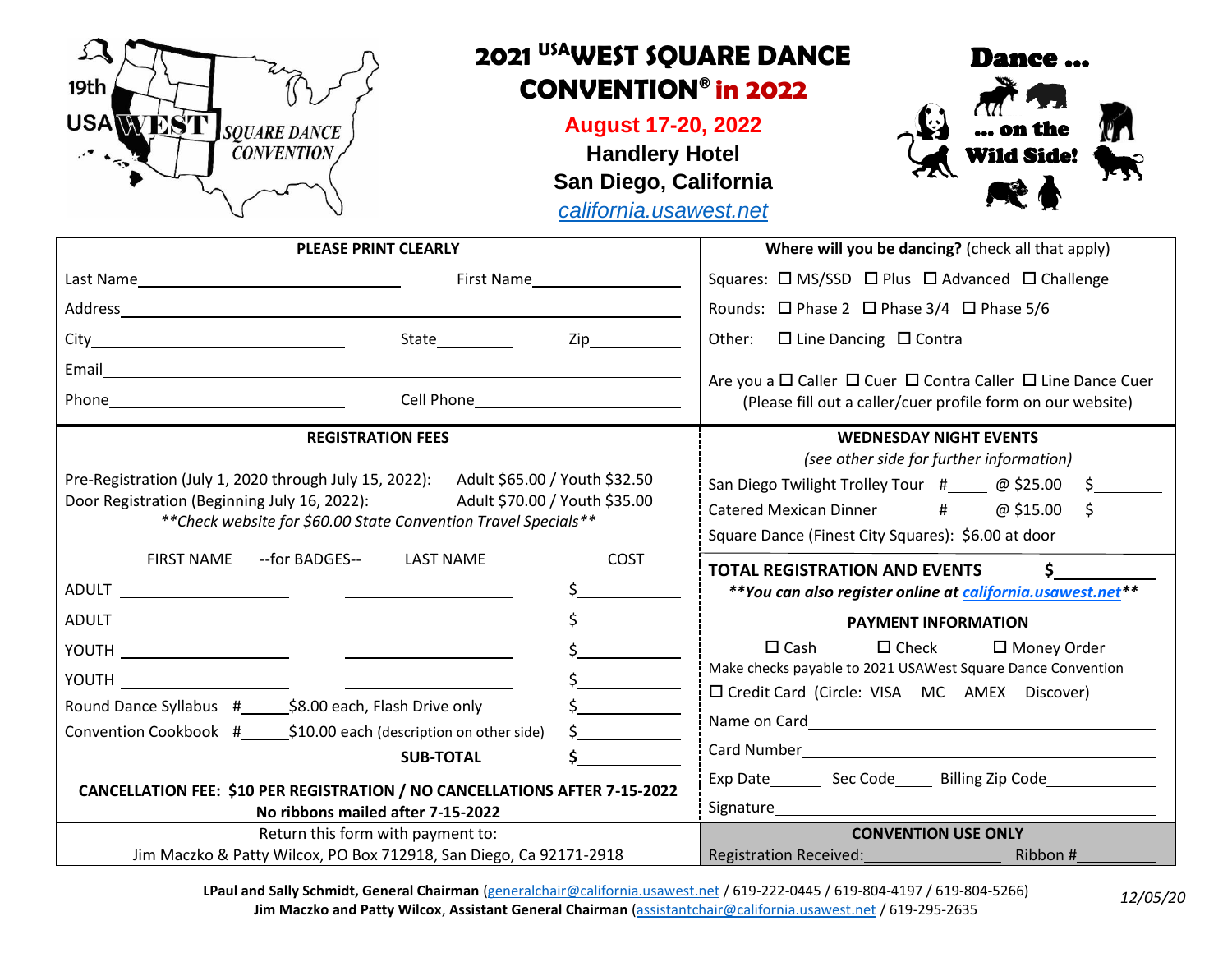

**LPaul and Sally Schmidt, General Chairman** [\(generalchair@california.usawest.net](mailto:generalchair@california.usawest.net) / 619-222-0445 / 619-804-4197 / 619-804-5266) **Jim Maczko and Patty Wilcox**, **Assistant General Chairman** [\(assistantchair@california.usawest.net](mailto:assistantchair@california.usawest.net) / 619-295-2635